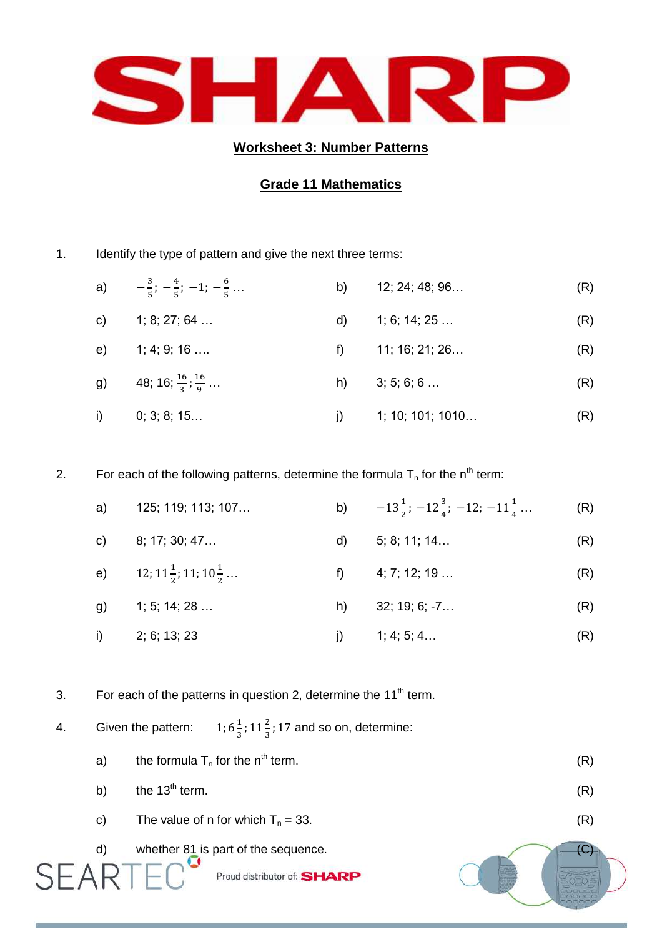

## **Worksheet 3: Number Patterns**

## **Grade 11 Mathematics**

1. Identify the type of pattern and give the next three terms:

a)  $-\frac{3}{5}$  $\frac{3}{5}$ ;  $-\frac{4}{5}$  $\frac{4}{5}$ ; -1; - $\frac{6}{5}$ 5 … b) 12; 24; 48; 96… (R) c)  $1; 8; 27; 64...$  d)  $1; 6; 14; 25...$  (R) e) 1; 4; 9; 16 …. f) 11; 16; 21; 26… (R) g) 48; 16;  $\frac{16}{3}$ ;  $\frac{1}{9}$ 9 h)  $3; 5; 6; 6...$  (R) i) 0; 3; 8; 15… j) 1; 10; 101; 1010… (R)

2. For each of the following patterns, determine the formula  $T_n$  for the n<sup>th</sup> term:

| a) | 125; 119; 113; 107                        |      | b) $-13\frac{1}{2}$ ; $-12\frac{3}{4}$ ; $-12$ ; $-11\frac{1}{4}$ | (R) |
|----|-------------------------------------------|------|-------------------------------------------------------------------|-----|
|    | c) $8; 17; 30; 47$                        | d) a | 5; 8; 11; 14                                                      | (R) |
|    | e) $12; 11\frac{1}{2}; 11; 10\frac{1}{2}$ |      | f) $4; 7; 12; 19$                                                 | (R) |
|    | g) $1; 5; 14; 28$                         |      | h) $32; 19; 6; -7$                                                | (R) |
|    | i) $2; 6; 13; 23$                         |      | j) $1; 4; 5; 4$                                                   | (R) |

3. For each of the patterns in question 2, determine the  $11<sup>th</sup>$  term.

4. Given the pattern:  $\mathbf 1$  $\frac{1}{3}$ ; 11 $\frac{2}{3}$ ; 17 and so on, determine:

- a) the formula  $T_n$  for the n<sup>th</sup> term. (R) b) the  $13<sup>th</sup>$  term. (R)
- c) The value of n for which  $T_n = 33$ . (R)
- d) whether  $81$  is part of the sequence. (C)

Proud distributor of: SHARP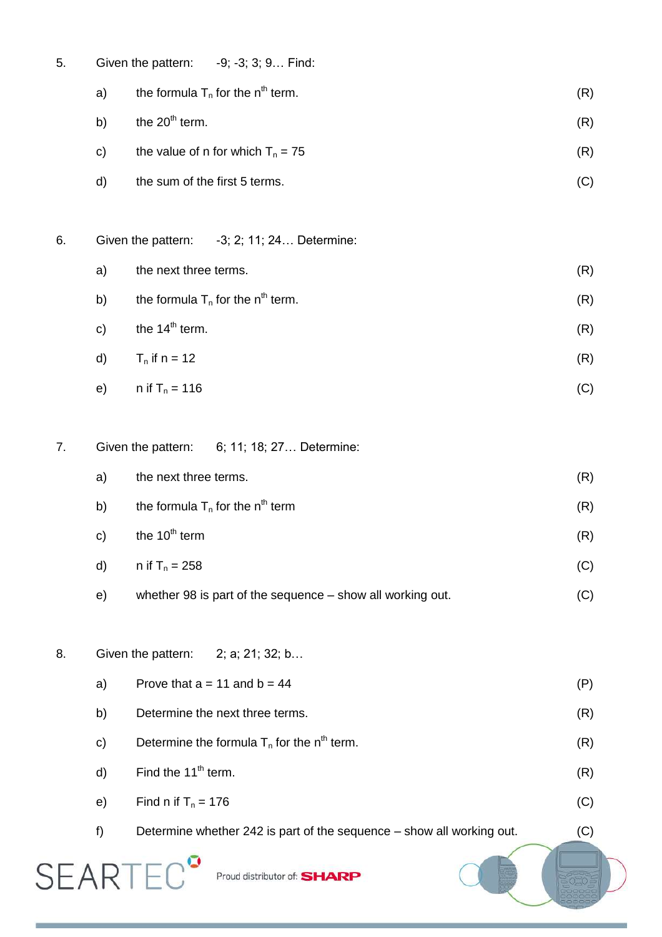- 5. Given the pattern: -9; -3; 3; 9… Find:
	- a) the formula  $T_n$  for the n<sup>th</sup> term. (R) b) the  $20^{th}$  term. (R) c) the value of n for which  $T_n = 75$  (R)
	- d) the sum of the first 5 terms. (C)

6. Given the pattern: -3; 2; 11; 24… Determine:

- a) the next three terms. (R) b) the formula  $T_n$  for the n<sup>th</sup> term. (R)
- c) the  $14^{th}$  term. (R)
- d)  $T_n$  if  $n = 12$  (R) e)  $n \text{ if } T_n = 116$  (C)
- 7. Given the pattern: 6; 11; 18; 27… Determine:
	- a) the next three terms. (R) b) the formula  $T_n$  for the n<sup>th</sup> term (R) c) the  $10^{th}$  term (R) d)  $n$  if  $T_n = 258$  (C) e) whether 98 is part of the sequence – show all working out. (C)
- 8. Given the pattern: 2; a; 21; 32; b...

**SEARTE** 

a) Prove that  $a = 11$  and  $b = 44$  (P) b) Determine the next three terms. (R) c) Determine the formula  $T_n$  for the n<sup>th</sup> term. (R) d) Find the  $11<sup>th</sup>$  term. (R) e) Find n if  $T_n = 176$  (C) f) Determine whether 242 is part of the sequence – show all working out. (C)

Proud distributor of: SHARP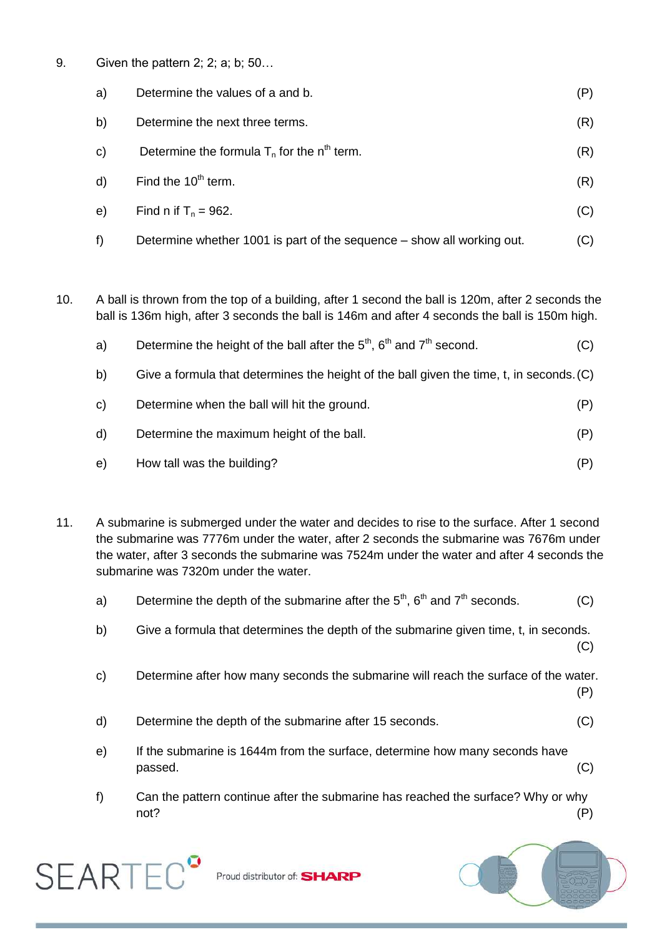9. Given the pattern 2; 2; a; b; 50…

| a) | Determine the values of a and b.                                       | (P) |
|----|------------------------------------------------------------------------|-----|
| b) | Determine the next three terms.                                        | (R) |
| C) | Determine the formula $T_n$ for the n <sup>th</sup> term.              | (R) |
| d) | Find the $10th$ term.                                                  | (R) |
| e) | Find n if $T_n = 962$ .                                                | (C) |
| f) | Determine whether 1001 is part of the sequence – show all working out. | (C) |

10. A ball is thrown from the top of a building, after 1 second the ball is 120m, after 2 seconds the ball is 136m high, after 3 seconds the ball is 146m and after 4 seconds the ball is 150m high.

| a)           | Determine the height of the ball after the $5th$ , $6th$ and $7th$ second.               | (C) |
|--------------|------------------------------------------------------------------------------------------|-----|
| b)           | Give a formula that determines the height of the ball given the time, t, in seconds. (C) |     |
| C)           | Determine when the ball will hit the ground.                                             | (P) |
| $\mathsf{d}$ | Determine the maximum height of the ball.                                                | (P) |
| e)           | How tall was the building?                                                               | (P) |

11. A submarine is submerged under the water and decides to rise to the surface. After 1 second the submarine was 7776m under the water, after 2 seconds the submarine was 7676m under the water, after 3 seconds the submarine was 7524m under the water and after 4 seconds the submarine was 7320m under the water.

| a) | Determine the depth of the submarine after the $5th$ , $6th$ and $7th$ seconds. |  |  |  |  | (C) |
|----|---------------------------------------------------------------------------------|--|--|--|--|-----|
|----|---------------------------------------------------------------------------------|--|--|--|--|-----|

b) Give a formula that determines the depth of the submarine given time, t, in seconds. (C)

c) Determine after how many seconds the submarine will reach the surface of the water.

d) Determine the depth of the submarine after 15 seconds. (C)

- e) If the submarine is 1644m from the surface, determine how many seconds have  $\,$  passed.  $\,$  (C)  $\,$
- f) Can the pattern continue after the submarine has reached the surface? Why or why not? (P)



Proud distributor of: **SHARP** 



(P)